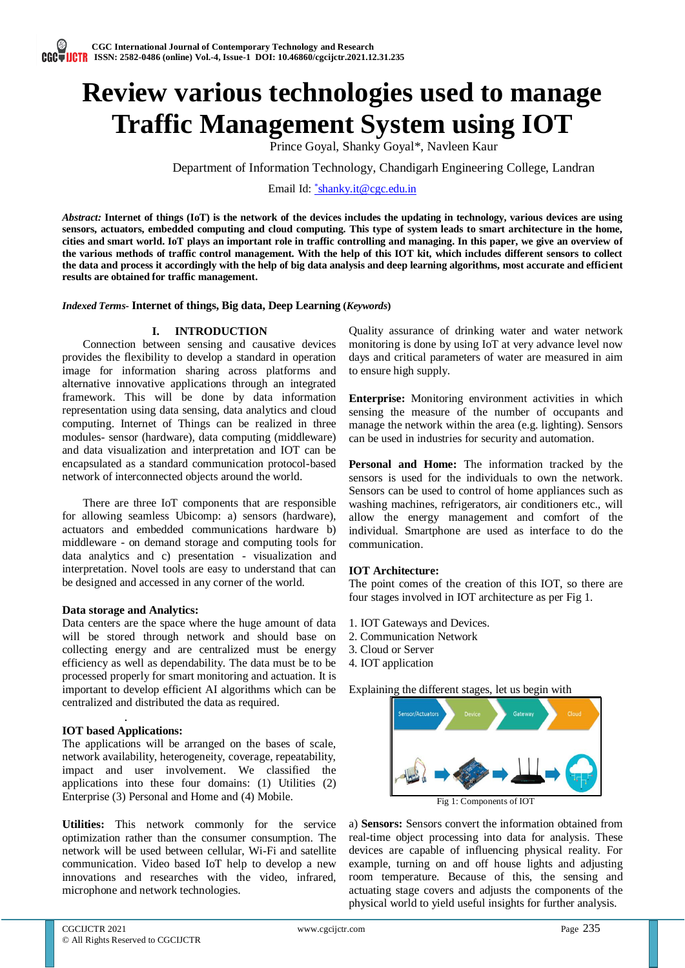# **Review various technologies used to manage Traffic Management System using IOT**

Prince Goyal, Shanky Goyal\*, Navleen Kaur

Department of Information Technology, Chandigarh Engineering College, Landran

Email Id: *\*[shanky.it@cgc.edu.in](mailto:*shanky.it@cgc.edu.in)* 

*Abstract:* **Internet of things (IoT) is the network of the devices includes the updating in technology, various devices are using sensors, actuators, embedded computing and cloud computing. This type of system leads to smart architecture in the home, cities and smart world. IoT plays an important role in traffic controlling and managing. In this paper, we give an overview of the various methods of traffic control management. With the help of this IOT kit, which includes different sensors to collect the data and process it accordingly with the help of big data analysis and deep learning algorithms, most accurate and efficient results are obtained for traffic management.**

*Indexed Terms-* **Internet of things, Big data, Deep Learning (***Keywords***)**

## **I. INTRODUCTION**

Connection between sensing and causative devices provides the flexibility to develop a standard in operation image for information sharing across platforms and alternative innovative applications through an integrated framework. This will be done by data information representation using data sensing, data analytics and cloud computing. Internet of Things can be realized in three modules- sensor (hardware), data computing (middleware) and data visualization and interpretation and IOT can be encapsulated as a standard communication protocol-based network of interconnected objects around the world.

There are three IoT components that are responsible for allowing seamless Ubicomp: a) sensors (hardware), actuators and embedded communications hardware b) middleware - on demand storage and computing tools for data analytics and c) presentation - visualization and interpretation. Novel tools are easy to understand that can be designed and accessed in any corner of the world.

## **Data storage and Analytics:**

Data centers are the space where the huge amount of data will be stored through network and should base on collecting energy and are centralized must be energy efficiency as well as dependability. The data must be to be processed properly for smart monitoring and actuation. It is important to develop efficient AI algorithms which can be centralized and distributed the data as required.

## . **IOT based Applications:**

The applications will be arranged on the bases of scale, network availability, heterogeneity, coverage, repeatability, impact and user involvement. We classified the applications into these four domains: (1) Utilities (2) Enterprise (3) Personal and Home and (4) Mobile.

**Utilities:** This network commonly for the service optimization rather than the consumer consumption. The network will be used between cellular, Wi-Fi and satellite communication. Video based IoT help to develop a new innovations and researches with the video, infrared, microphone and network technologies.

Quality assurance of drinking water and water network monitoring is done by using IoT at very advance level now days and critical parameters of water are measured in aim to ensure high supply.

**Enterprise:** Monitoring environment activities in which sensing the measure of the number of occupants and manage the network within the area (e.g. lighting). Sensors can be used in industries for security and automation.

**Personal and Home:** The information tracked by the sensors is used for the individuals to own the network. Sensors can be used to control of home appliances such as washing machines, refrigerators, air conditioners etc., will allow the energy management and comfort of the individual. Smartphone are used as interface to do the communication.

## **IOT Architecture:**

The point comes of the creation of this IOT, so there are four stages involved in IOT architecture as per Fig 1.

- 1. IOT Gateways and Devices.
- 2. Communication Network
- 3. Cloud or Server
- 4. IOT application

Explaining the different stages, let us begin with



a) **Sensors:** Sensors convert the information obtained from real-time object processing into data for analysis. These devices are capable of influencing physical reality. For example, turning on and off house lights and adjusting room temperature. Because of this, the sensing and actuating stage covers and adjusts the components of the physical world to yield useful insights for further analysis.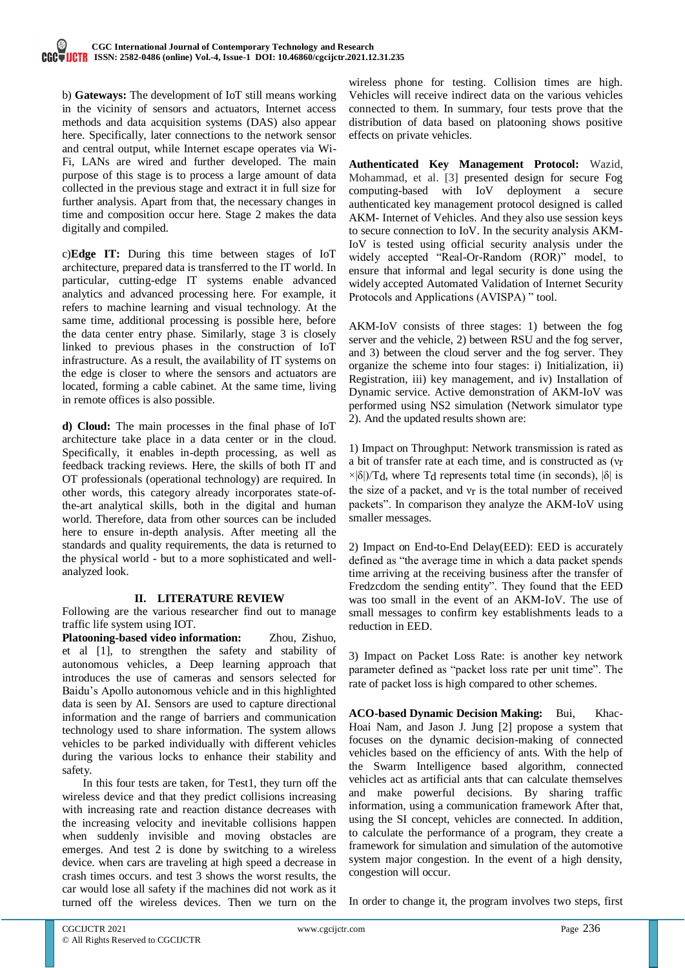b) **Gateways:** The development of IoT still means working in the vicinity of sensors and actuators, Internet access methods and data acquisition systems (DAS) also appear here. Specifically, later connections to the network sensor and central output, while Internet escape operates via Wi-Fi, LANs are wired and further developed. The main purpose of this stage is to process a large amount of data collected in the previous stage and extract it in full size for further analysis. Apart from that, the necessary changes in time and composition occur here. Stage 2 makes the data digitally and compiled.

c)**Edge IT:** During this time between stages of IoT architecture, prepared data is transferred to the IT world. In particular, cutting-edge IT systems enable advanced analytics and advanced processing here. For example, it refers to machine learning and visual technology. At the same time, additional processing is possible here, before the data center entry phase. Similarly, stage 3 is closely linked to previous phases in the construction of IoT infrastructure. As a result, the availability of IT systems on the edge is closer to where the sensors and actuators are located, forming a cable cabinet. At the same time, living in remote offices is also possible.

**d) Cloud:** The main processes in the final phase of IoT architecture take place in a data center or in the cloud. Specifically, it enables in-depth processing, as well as feedback tracking reviews. Here, the skills of both IT and OT professionals (operational technology) are required. In other words, this category already incorporates state-ofthe-art analytical skills, both in the digital and human world. Therefore, data from other sources can be included here to ensure in-depth analysis. After meeting all the standards and quality requirements, the data is returned to the physical world - but to a more sophisticated and wellanalyzed look.

## **II. LITERATURE REVIEW**

Following are the various researcher find out to manage traffic life system using IOT.

**Platooning-based video information:** Zhou, Zishuo, et al [1], to strengthen the safety and stability of autonomous vehicles, a Deep learning approach that introduces the use of cameras and sensors selected for Baidu's Apollo autonomous vehicle and in this highlighted data is seen by AI. Sensors are used to capture directional information and the range of barriers and communication technology used to share information. The system allows vehicles to be parked individually with different vehicles during the various locks to enhance their stability and safety.

In this four tests are taken, for Test1, they turn off the wireless device and that they predict collisions increasing with increasing rate and reaction distance decreases with the increasing velocity and inevitable collisions happen when suddenly invisible and moving obstacles are emerges. And test 2 is done by switching to a wireless device. when cars are traveling at high speed a decrease in crash times occurs. and test 3 shows the worst results, the car would lose all safety if the machines did not work as it turned off the wireless devices. Then we turn on the

wireless phone for testing. Collision times are high. Vehicles will receive indirect data on the various vehicles connected to them. In summary, four tests prove that the distribution of data based on platooning shows positive effects on private vehicles.

**Authenticated Key Management Protocol:** Wazid, Mohammad, et al. [3] presented design for secure Fog computing-based with IoV deployment a secure authenticated key management protocol designed is called AKM- Internet of Vehicles. And they also use session keys to secure connection to IoV. In the security analysis AKM-IoV is tested using official security analysis under the widely accepted "Real-Or-Random (ROR)" model, to ensure that informal and legal security is done using the widely accepted Automated Validation of Internet Security Protocols and Applications (AVISPA) " tool.

AKM-IoV consists of three stages: 1) between the fog server and the vehicle, 2) between RSU and the fog server, and 3) between the cloud server and the fog server. They organize the scheme into four stages: i) Initialization, ii) Registration, iii) key management, and iv) Installation of Dynamic service. Active demonstration of AKM-IoV was performed using NS2 simulation (Network simulator type 2). And the updated results shown are:

1) Impact on Throughput: Network transmission is rated as a bit of transfer rate at each time, and is constructed as (νr  $\times$ |δ|)/T<sub>d</sub>, where T<sub>d</sub> represents total time (in seconds), |δ| is the size of a packet, and  $v_r$  is the total number of received packets". In comparison they analyze the AKM-IoV using smaller messages.

2) Impact on End-to-End Delay(EED): EED is accurately defined as "the average time in which a data packet spends time arriving at the receiving business after the transfer of Fredzcdom the sending entity". They found that the EED was too small in the event of an AKM-IoV. The use of small messages to confirm key establishments leads to a reduction in EED.

3) Impact on Packet Loss Rate: is another key network parameter defined as "packet loss rate per unit time". The rate of packet loss is high compared to other schemes.

**ACO-based Dynamic Decision Making:** Bui, Khac-Hoai Nam, and Jason J. Jung [2] propose a system that focuses on the dynamic decision-making of connected vehicles based on the efficiency of ants. With the help of the Swarm Intelligence based algorithm, connected vehicles act as artificial ants that can calculate themselves and make powerful decisions. By sharing traffic information, using a communication framework After that, using the SI concept, vehicles are connected. In addition, to calculate the performance of a program, they create a framework for simulation and simulation of the automotive system major congestion. In the event of a high density, congestion will occur.

In order to change it, the program involves two steps, first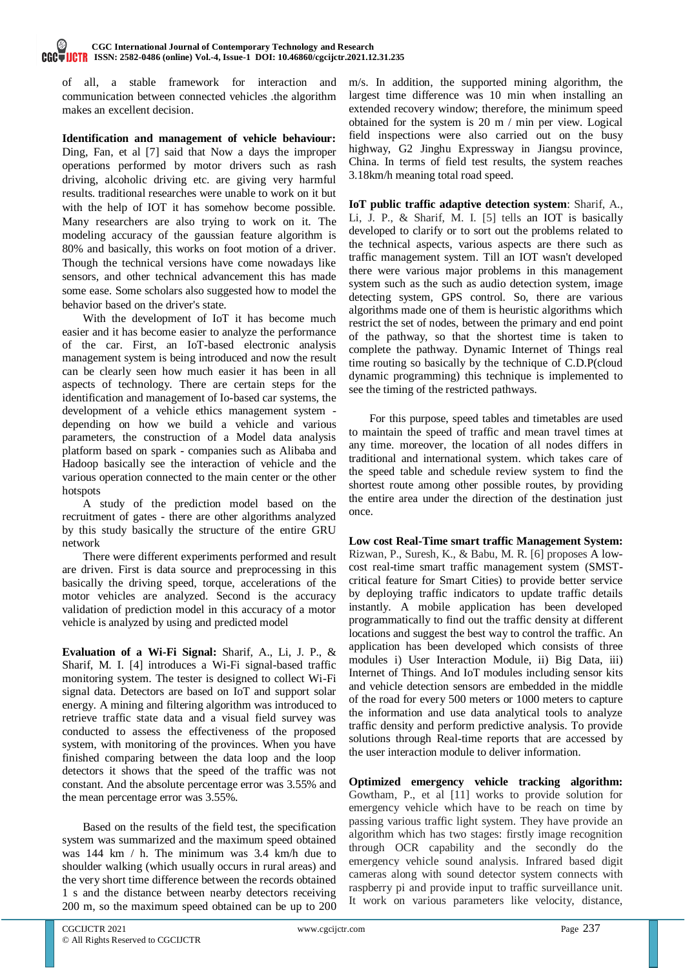### **CGC International Journal of Contemporary Technology and Research ISSN: 2582-0486 (online) Vol.-4, Issue-1 DOI: 10.46860/cgcijctr.2021.12.31.235**

of all, a stable framework for interaction and communication between connected vehicles .the algorithm makes an excellent decision.

**Identification and management of vehicle behaviour:**  Ding, Fan, et al [7] said that Now a days the improper operations performed by motor drivers such as rash driving, alcoholic driving etc. are giving very harmful results. traditional researches were unable to work on it but with the help of IOT it has somehow become possible. Many researchers are also trying to work on it. The modeling accuracy of the gaussian feature algorithm is 80% and basically, this works on foot motion of a driver. Though the technical versions have come nowadays like sensors, and other technical advancement this has made some ease. Some scholars also suggested how to model the behavior based on the driver's state.

With the development of IoT it has become much easier and it has become easier to analyze the performance of the car. First, an IoT-based electronic analysis management system is being introduced and now the result can be clearly seen how much easier it has been in all aspects of technology. There are certain steps for the identification and management of Io-based car systems, the development of a vehicle ethics management system depending on how we build a vehicle and various parameters, the construction of a Model data analysis platform based on spark - companies such as Alibaba and Hadoop basically see the interaction of vehicle and the various operation connected to the main center or the other hotspots

A study of the prediction model based on the recruitment of gates - there are other algorithms analyzed by this study basically the structure of the entire GRU network

There were different experiments performed and result are driven. First is data source and preprocessing in this basically the driving speed, torque, accelerations of the motor vehicles are analyzed. Second is the accuracy validation of prediction model in this accuracy of a motor vehicle is analyzed by using and predicted model

**Evaluation of a Wi-Fi Signal:** Sharif, A., Li, J. P., & Sharif, M. I. [4] introduces a Wi-Fi signal-based traffic monitoring system. The tester is designed to collect Wi-Fi signal data. Detectors are based on IoT and support solar energy. A mining and filtering algorithm was introduced to retrieve traffic state data and a visual field survey was conducted to assess the effectiveness of the proposed system, with monitoring of the provinces. When you have finished comparing between the data loop and the loop detectors it shows that the speed of the traffic was not constant. And the absolute percentage error was 3.55% and the mean percentage error was 3.55%.

Based on the results of the field test, the specification system was summarized and the maximum speed obtained was 144 km / h. The minimum was 3.4 km/h due to shoulder walking (which usually occurs in rural areas) and the very short time difference between the records obtained 1 s and the distance between nearby detectors receiving 200 m, so the maximum speed obtained can be up to 200

m/s. In addition, the supported mining algorithm, the largest time difference was 10 min when installing an extended recovery window; therefore, the minimum speed obtained for the system is 20 m / min per view. Logical field inspections were also carried out on the busy highway, G2 Jinghu Expressway in Jiangsu province, China. In terms of field test results, the system reaches 3.18km/h meaning total road speed.

**IoT public traffic adaptive detection system**: Sharif, A., Li, J. P., & Sharif, M. I. [5] tells an IOT is basically developed to clarify or to sort out the problems related to the technical aspects, various aspects are there such as traffic management system. Till an IOT wasn't developed there were various major problems in this management system such as the such as audio detection system, image detecting system, GPS control. So, there are various algorithms made one of them is heuristic algorithms which restrict the set of nodes, between the primary and end point of the pathway, so that the shortest time is taken to complete the pathway. Dynamic Internet of Things real time routing so basically by the technique of C.D.P(cloud dynamic programming) this technique is implemented to see the timing of the restricted pathways.

For this purpose, speed tables and timetables are used to maintain the speed of traffic and mean travel times at any time. moreover, the location of all nodes differs in traditional and international system. which takes care of the speed table and schedule review system to find the shortest route among other possible routes, by providing the entire area under the direction of the destination just once.

**Low cost Real-Time smart traffic Management System:**  Rizwan, P., Suresh, K., & Babu, M. R. [6] proposes A lowcost real-time smart traffic management system (SMSTcritical feature for Smart Cities) to provide better service by deploying traffic indicators to update traffic details instantly. A mobile application has been developed programmatically to find out the traffic density at different locations and suggest the best way to control the traffic. An application has been developed which consists of three modules i) User Interaction Module, ii) Big Data, iii) Internet of Things. And IoT modules including sensor kits and vehicle detection sensors are embedded in the middle of the road for every 500 meters or 1000 meters to capture the information and use data analytical tools to analyze traffic density and perform predictive analysis. To provide solutions through Real-time reports that are accessed by the user interaction module to deliver information.

**Optimized emergency vehicle tracking algorithm:** Gowtham, P., et al [11] works to provide solution for emergency vehicle which have to be reach on time by passing various traffic light system. They have provide an algorithm which has two stages: firstly image recognition through OCR capability and the secondly do the emergency vehicle sound analysis. Infrared based digit cameras along with sound detector system connects with raspberry pi and provide input to traffic surveillance unit. It work on various parameters like velocity, distance,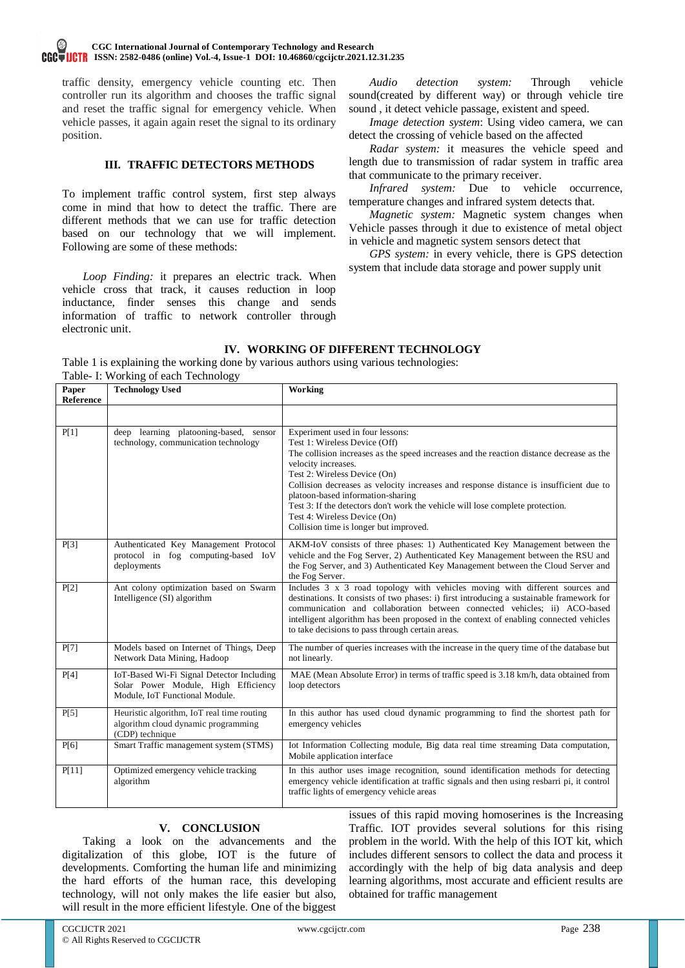traffic density, emergency vehicle counting etc. Then controller run its algorithm and chooses the traffic signal and reset the traffic signal for emergency vehicle. When vehicle passes, it again again reset the signal to its ordinary position.

## **III. TRAFFIC DETECTORS METHODS**

To implement traffic control system, first step always come in mind that how to detect the traffic. There are different methods that we can use for traffic detection based on our technology that we will implement. Following are some of these methods:

*Loop Finding:* it prepares an electric track. When vehicle cross that track, it causes reduction in loop inductance, finder senses this change and sends information of traffic to network controller through electronic unit.

*Audio detection system:* Through vehicle sound(created by different way) or through vehicle tire sound , it detect vehicle passage, existent and speed.

*Image detection system*: Using video camera, we can detect the crossing of vehicle based on the affected

*Radar system:* it measures the vehicle speed and length due to transmission of radar system in traffic area that communicate to the primary receiver.

*Infrared system:* Due to vehicle occurrence, temperature changes and infrared system detects that.

*Magnetic system:* Magnetic system changes when Vehicle passes through it due to existence of metal object in vehicle and magnetic system sensors detect that

*GPS system:* in every vehicle, there is GPS detection system that include data storage and power supply unit

## **IV. WORKING OF DIFFERENT TECHNOLOGY**

Table 1 is explaining the working done by various authors using various technologies: Table- I: Working of each Technology

| Paper<br><b>Reference</b> | racio 1. Working of each reculionogy<br><b>Technology Used</b>                                                     | Working                                                                                                                                                                                                                                                                                                                                                                                                                                                                                                         |
|---------------------------|--------------------------------------------------------------------------------------------------------------------|-----------------------------------------------------------------------------------------------------------------------------------------------------------------------------------------------------------------------------------------------------------------------------------------------------------------------------------------------------------------------------------------------------------------------------------------------------------------------------------------------------------------|
|                           |                                                                                                                    |                                                                                                                                                                                                                                                                                                                                                                                                                                                                                                                 |
| P[1]                      | deep learning platooning-based, sensor<br>technology, communication technology                                     | Experiment used in four lessons:<br>Test 1: Wireless Device (Off)<br>The collision increases as the speed increases and the reaction distance decrease as the<br>velocity increases.<br>Test 2: Wireless Device (On)<br>Collision decreases as velocity increases and response distance is insufficient due to<br>platoon-based information-sharing<br>Test 3: If the detectors don't work the vehicle will lose complete protection.<br>Test 4: Wireless Device (On)<br>Collision time is longer but improved. |
| P[3]                      | Authenticated Key Management Protocol<br>protocol in fog computing-based IoV<br>deployments                        | AKM-IoV consists of three phases: 1) Authenticated Key Management between the<br>vehicle and the Fog Server, 2) Authenticated Key Management between the RSU and<br>the Fog Server, and 3) Authenticated Key Management between the Cloud Server and<br>the Fog Server.                                                                                                                                                                                                                                         |
| P[2]                      | Ant colony optimization based on Swarm<br>Intelligence (SI) algorithm                                              | Includes 3 x 3 road topology with vehicles moving with different sources and<br>destinations. It consists of two phases: i) first introducing a sustainable framework for<br>communication and collaboration between connected vehicles; ii) ACO-based<br>intelligent algorithm has been proposed in the context of enabling connected vehicles<br>to take decisions to pass through certain areas.                                                                                                             |
| P[7]                      | Models based on Internet of Things, Deep<br>Network Data Mining, Hadoop                                            | The number of queries increases with the increase in the query time of the database but<br>not linearly.                                                                                                                                                                                                                                                                                                                                                                                                        |
| P[4]                      | IoT-Based Wi-Fi Signal Detector Including<br>Solar Power Module, High Efficiency<br>Module, IoT Functional Module. | MAE (Mean Absolute Error) in terms of traffic speed is 3.18 km/h, data obtained from<br>loop detectors                                                                                                                                                                                                                                                                                                                                                                                                          |
| P[5]                      | Heuristic algorithm, IoT real time routing<br>algorithm cloud dynamic programming<br>(CDP) technique               | In this author has used cloud dynamic programming to find the shortest path for<br>emergency vehicles                                                                                                                                                                                                                                                                                                                                                                                                           |
| P[6]                      | Smart Traffic management system (STMS)                                                                             | Iot Information Collecting module, Big data real time streaming Data computation,<br>Mobile application interface                                                                                                                                                                                                                                                                                                                                                                                               |
| P[11]                     | Optimized emergency vehicle tracking<br>algorithm                                                                  | In this author uses image recognition, sound identification methods for detecting<br>emergency vehicle identification at traffic signals and then using resbarri pi, it control<br>traffic lights of emergency vehicle areas                                                                                                                                                                                                                                                                                    |

## **V. CONCLUSION**

Taking a look on the advancements and the digitalization of this globe, IOT is the future of developments. Comforting the human life and minimizing the hard efforts of the human race, this developing technology, will not only makes the life easier but also, will result in the more efficient lifestyle. One of the biggest issues of this rapid moving homoserines is the Increasing Traffic. IOT provides several solutions for this rising problem in the world. With the help of this IOT kit, which includes different sensors to collect the data and process it accordingly with the help of big data analysis and deep learning algorithms, most accurate and efficient results are obtained for traffic management